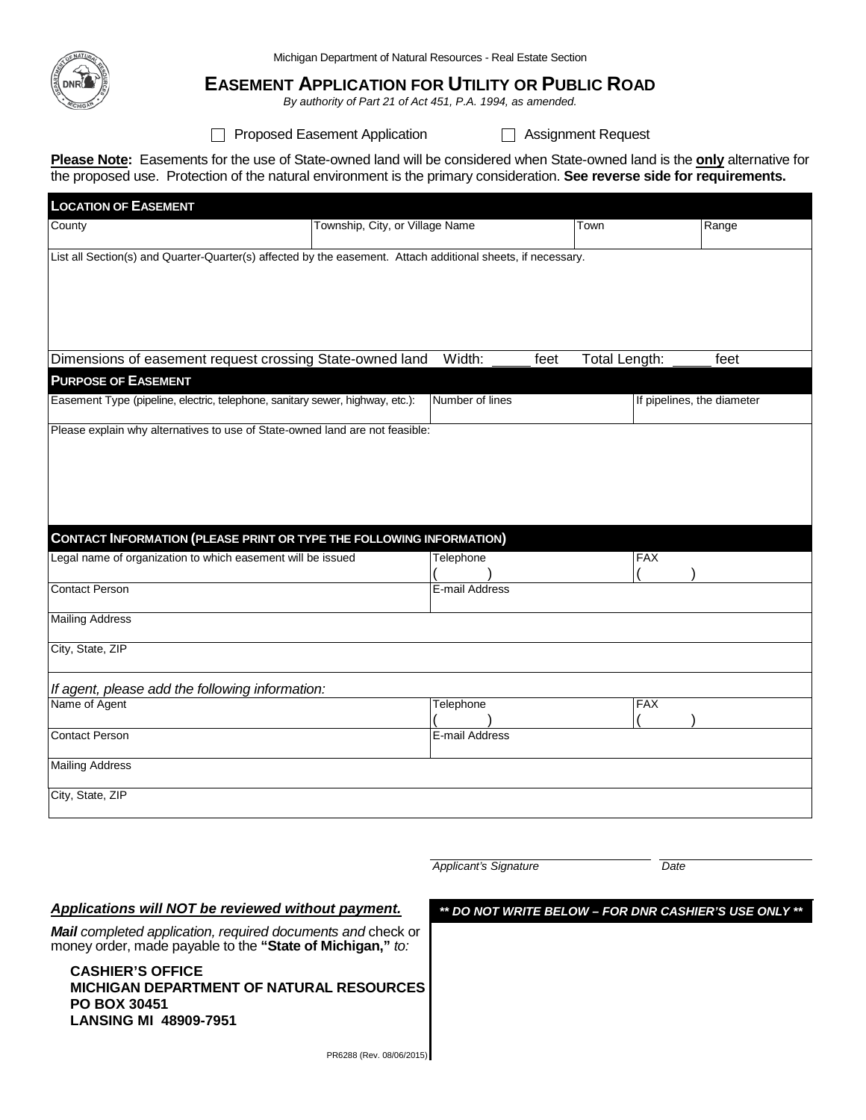

Michigan Department of Natural Resources - Real Estate Section

## **EASEMENT APPLICATION FOR UTILITY OR PUBLIC ROAD**

*By authority of Part 21 of Act 451, P.A. 1994, as amended.*

□ Proposed Easement Application □ Assignment Request

**Please Note:** Easements for the use of State-owned land will be considered when State-owned land is the **only** alternative for the proposed use. Protection of the natural environment is the primary consideration. **See reverse side for requirements.**

| <b>LOCATION OF EASEMENT</b>                                                                                  |                                 |                 |               |                            |      |
|--------------------------------------------------------------------------------------------------------------|---------------------------------|-----------------|---------------|----------------------------|------|
| County                                                                                                       | Township, City, or Village Name | Town            |               | Range                      |      |
| List all Section(s) and Quarter-Quarter(s) affected by the easement. Attach additional sheets, if necessary. |                                 |                 |               |                            |      |
|                                                                                                              |                                 |                 |               |                            |      |
|                                                                                                              |                                 |                 |               |                            |      |
|                                                                                                              |                                 |                 |               |                            |      |
|                                                                                                              |                                 | Width:          |               |                            |      |
| Dimensions of easement request crossing State-owned land                                                     |                                 | feet            | Total Length: |                            | feet |
| <b>PURPOSE OF EASEMENT</b><br>Easement Type (pipeline, electric, telephone, sanitary sewer, highway, etc.):  |                                 | Number of lines |               | If pipelines, the diameter |      |
|                                                                                                              |                                 |                 |               |                            |      |
| Please explain why alternatives to use of State-owned land are not feasible:                                 |                                 |                 |               |                            |      |
|                                                                                                              |                                 |                 |               |                            |      |
|                                                                                                              |                                 |                 |               |                            |      |
|                                                                                                              |                                 |                 |               |                            |      |
|                                                                                                              |                                 |                 |               |                            |      |
| <b>CONTACT INFORMATION (PLEASE PRINT OR TYPE THE FOLLOWING INFORMATION)</b>                                  |                                 |                 |               |                            |      |
| Legal name of organization to which easement will be issued                                                  |                                 | Telephone       |               | <b>FAX</b>                 |      |
| <b>Contact Person</b>                                                                                        |                                 | E-mail Address  |               |                            |      |
|                                                                                                              |                                 |                 |               |                            |      |
| <b>Mailing Address</b>                                                                                       |                                 |                 |               |                            |      |
| City, State, ZIP                                                                                             |                                 |                 |               |                            |      |
|                                                                                                              |                                 |                 |               |                            |      |
| If agent, please add the following information:                                                              |                                 |                 |               |                            |      |
| Name of Agent                                                                                                |                                 | Telephone       |               | <b>FAX</b>                 |      |
| <b>Contact Person</b>                                                                                        |                                 | E-mail Address  |               |                            |      |
|                                                                                                              |                                 |                 |               |                            |      |
| <b>Mailing Address</b>                                                                                       |                                 |                 |               |                            |      |
| City, State, ZIP                                                                                             |                                 |                 |               |                            |      |
|                                                                                                              |                                 |                 |               |                            |      |
|                                                                                                              |                                 |                 |               |                            |      |
|                                                                                                              |                                 |                 |               |                            |      |

*Applicant's Signature Date*

*Applications will NOT be reviewed without payment.*

*Mail completed application, required documents and* check or money order, made payable to the **"State of Michigan,"** *to:*

**CASHIER'S OFFICE MICHIGAN DEPARTMENT OF NATURAL RESOURCES PO BOX 30451 LANSING MI 48909-7951**

*\*\* DO NOT WRITE BELOW – FOR DNR CASHIER'S USE ONLY \*\**

PR6288 (Rev. 08/06/2015)